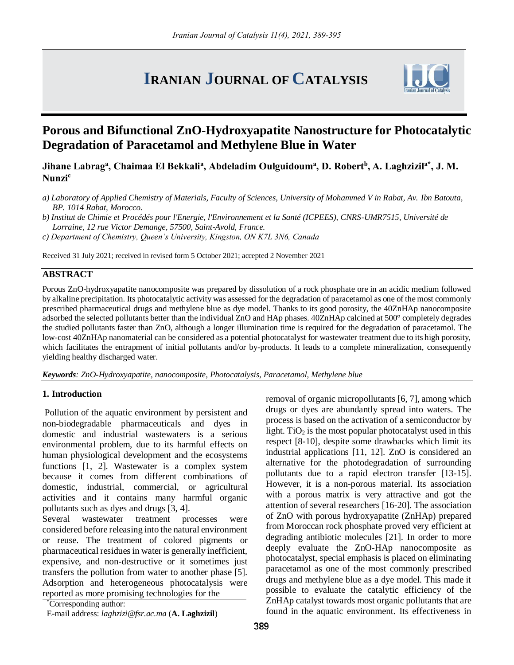# **IRANIAN JOURNAL OF CATALYSIS**



# **Porous and Bifunctional ZnO-Hydroxyapatite Nanostructure for Photocatalytic Degradation of Paracetamol and Methylene Blue in Water**

**Jihane Labrag<sup>a</sup> , Chaimaa El Bekkali<sup>a</sup> , Abdeladim Oulguidoum<sup>a</sup> , D. Robert<sup>b</sup> , A. Laghzizila\*, J. M. Nunzi<sup>c</sup>**

*a) Laboratory of Applied Chemistry of Materials, Faculty of Sciences, University of Mohammed V in Rabat, Av. Ibn Batouta, BP. 1014 Rabat, Morocco.*

*b) Institut de Chimie et Procédés pour l'Energie, l'Environnement et la Santé (ICPEES), CNRS-UMR7515, Université de Lorraine, 12 rue Victor Demange, 57500, Saint-Avold, France.*

*c) Department of Chemistry, Queen's University, Kingston, ON K7L 3N6, Canada*

Received 31 July 2021; received in revised form 5 October 2021; accepted 2 November 2021

# **ABSTRACT**

Porous ZnO-hydroxyapatite nanocomposite was prepared by dissolution of a rock phosphate ore in an acidic medium followed by alkaline precipitation. Its photocatalytic activity was assessed for the degradation of paracetamol as one of the most commonly prescribed pharmaceutical drugs and methylene blue as dye model. Thanks to its good porosity, the 40ZnHAp nanocomposite adsorbed the selected pollutants better than the individual ZnO and HAp phases. 40ZnHAp calcined at 500° completely degrades the studied pollutants faster than ZnO, although a longer illumination time is required for the degradation of paracetamol. The low-cost 40ZnHAp nanomaterial can be considered as a potential photocatalyst for wastewater treatment due to its high porosity, which facilitates the entrapment of initial pollutants and/or by-products. It leads to a complete mineralization, consequently yielding healthy discharged water.

*Keywords: ZnO-Hydroxyapatite, nanocomposite, Photocatalysis, Paracetamol, Methylene blue*

# **1. Introduction**

Pollution of the aquatic environment by persistent and non-biodegradable pharmaceuticals and dyes in domestic and industrial wastewaters is a serious environmental problem, due to its harmful effects on human physiological development and the ecosystems functions [1, 2]. Wastewater is a complex system because it comes from different combinations of domestic, industrial, commercial, or agricultural activities and it contains many harmful organic pollutants such as dyes and drugs [3, 4].

Several wastewater treatment processes were considered before releasing into the natural environment or reuse. The treatment of colored pigments or pharmaceutical residues in water is generally inefficient, expensive, and non-destructive or it sometimes just transfers the pollution from water to another phase [5]. Adsorption and heterogeneous photocatalysis were reported as more promising technologies for the

removal of organic micropollutants [6, 7], among which drugs or dyes are abundantly spread into waters. The process is based on the activation of a semiconductor by light. TiO<sub>2</sub> is the most popular photocatalyst used in this respect [8-10], despite some drawbacks which limit its industrial applications [11, 12]. ZnO is considered an alternative for the photodegradation of surrounding pollutants due to a rapid electron transfer [13-15]. However, it is a non-porous material. Its association with a porous matrix is very attractive and got the attention of several researchers [16-20]. The association of ZnO with porous hydroxyapatite (ZnHAp) prepared from Moroccan rock phosphate proved very efficient at degrading antibiotic molecules [21]. In order to more deeply evaluate the ZnO-HAp nanocomposite as photocatalyst, special emphasis is placed on eliminating paracetamol as one of the most commonly prescribed drugs and methylene blue as a dye model. This made it possible to evaluate the catalytic efficiency of the ZnHAp catalyst towards most organic pollutants that are found in the aquatic environment. Its effectiveness in

<sup>\*</sup>Corresponding author:

E-mail address: *laghzizi@fsr.ac.ma* (**A. Laghzizil**)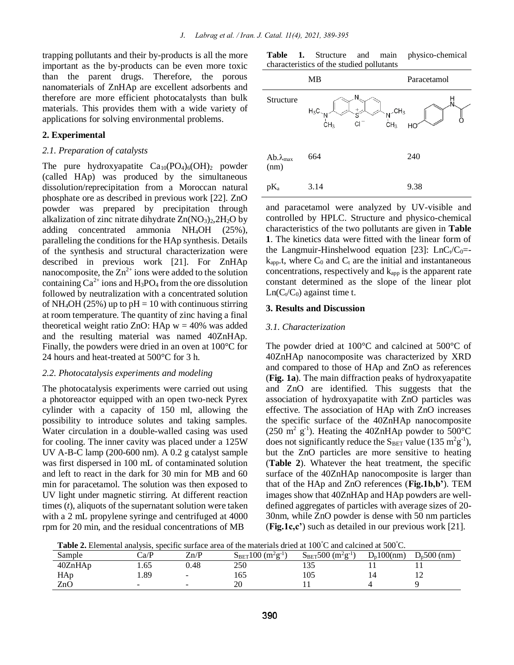trapping pollutants and their by-products is all the more important as the by-products can be even more toxic than the parent drugs. Therefore, the porous nanomaterials of ZnHAp are excellent adsorbents and therefore are more efficient photocatalysts than bulk materials. This provides them with a wide variety of applications for solving environmental problems.

#### **2. Experimental**

#### *2.1. Preparation of catalysts*

The pure hydroxyapatite  $Ca_{10}(PO_4)_6(OH)_2$  powder (called HAp) was produced by the simultaneous dissolution/reprecipitation from a Moroccan natural phosphate ore as described in previous work [22]. ZnO powder was prepared by precipitation through alkalization of zinc nitrate dihydrate  $Zn(NO<sub>3</sub>)<sub>2</sub>, 2H<sub>2</sub>O$  by adding concentrated ammonia NH4OH (25%), paralleling the conditions for the HAp synthesis. Details of the synthesis and structural characterization were described in previous work [21]. For ZnHAp nanocomposite, the  $\text{Zn}^{2+}$  ions were added to the solution containing  $Ca^{2+}$  ions and  $H_3PO_4$  from the ore dissolution followed by neutralization with a concentrated solution of NH<sub>4</sub>OH (25%) up to  $pH = 10$  with continuous stirring at room temperature. The quantity of zinc having a final theoretical weight ratio ZnO: HAp  $w = 40\%$  was added and the resulting material was named 40ZnHAp. Finally, the powders were dried in an oven at 100°C for 24 hours and heat-treated at 500°C for 3 h.

#### *2.2. Photocatalysis experiments and modeling*

The photocatalysis experiments were carried out using a photoreactor equipped with an open two-neck Pyrex cylinder with a capacity of 150 ml, allowing the possibility to introduce solutes and taking samples. Water circulation in a double-walled casing was used for cooling. The inner cavity was placed under a 125W UV A-B-C lamp (200-600 nm). A 0.2 g catalyst sample was first dispersed in 100 mL of contaminated solution and left to react in the dark for 30 min for MB and 60 min for paracetamol. The solution was then exposed to UV light under magnetic stirring. At different reaction times (*t*), aliquots of the supernatant solution were taken with a 2 mL propylene syringe and centrifuged at 4000 rpm for 20 min, and the residual concentrations of MB

**Table 1.** Structure and main physico-chemical characteristics of the studied pollutants

|                            | MB                                                                                                | Paracetamol |  |  |
|----------------------------|---------------------------------------------------------------------------------------------------|-------------|--|--|
| Structure                  | Ν<br>$H_3C$<br>$+$<br>$\sim_N$ CH <sub>3</sub><br>CH <sub>3</sub><br><b>CI</b><br>CH <sub>3</sub> | HO          |  |  |
| $Ab.\lambda_{max}$<br>(nm) | 664                                                                                               | 240         |  |  |
| $pK_a$                     | 3.14                                                                                              | 9.38        |  |  |

and paracetamol were analyzed by UV-visible and controlled by HPLC. Structure and physico-chemical characteristics of the two pollutants are given in **Table 1**. The kinetics data were fitted with the linear form of the Langmuir-Hinshelwood equation [23]:  $LnC_t/C_0=$  $k_{\text{app}}$ , t, where  $C_0$  and  $C_t$  are the initial and instantaneous concentrations, respectively and  $k_{app}$  is the apparent rate constant determined as the slope of the linear plot  $Ln(C_t/C_0)$  against time t.

#### **3. Results and Discussion**

#### *3.1. Characterization*

The powder dried at 100°C and calcined at 500°C of 40ZnHAp nanocomposite was characterized by XRD and compared to those of HAp and ZnO as references (**Fig. 1a**). The main diffraction peaks of hydroxyapatite and ZnO are identified. This suggests that the association of hydroxyapatite with ZnO particles was effective. The association of HAp with ZnO increases the specific surface of the 40ZnHAp nanocomposite  $(250 \text{ m}^2 \text{ g}^{\text{-1}})$ . Heating the 40ZnHAp powder to 500°C does not significantly reduce the  $S_{\text{BET}}$  value (135 m<sup>2</sup>g<sup>-1</sup>), but the ZnO particles are more sensitive to heating (**Table 2**). Whatever the heat treatment, the specific surface of the 40ZnHAp nanocomposite is larger than that of the HAp and ZnO references (**Fig.1b,b'**). TEM images show that 40ZnHAp and HAp powders are welldefined aggregates of particles with average sizes of 20- 30nm, while ZnO powder is dense with 50 nm particles (**Fig.1c,c'**) such as detailed in our previous work [21].

**Table 2.** Elemental analysis, specific surface area of the materials dried at 100°C and calcined at 500°C.

| Sample  | Ca/P | Zn/P                     | $S_{\rm BET}100$ (<br>$(m^2g^{-1})$ | $S_{\rm BET}$ 500 $'$<br>$(m2g-1)$ | $D_p100(nm)$ | $D_{p}500$ (nm) |
|---------|------|--------------------------|-------------------------------------|------------------------------------|--------------|-----------------|
| 40ZnHAp | L.65 | 0.48                     | 250                                 |                                    |              |                 |
| HAp     | 1.89 | -                        | 165                                 | 105                                |              |                 |
| ZnC     | -    | $\overline{\phantom{0}}$ | 20                                  |                                    |              |                 |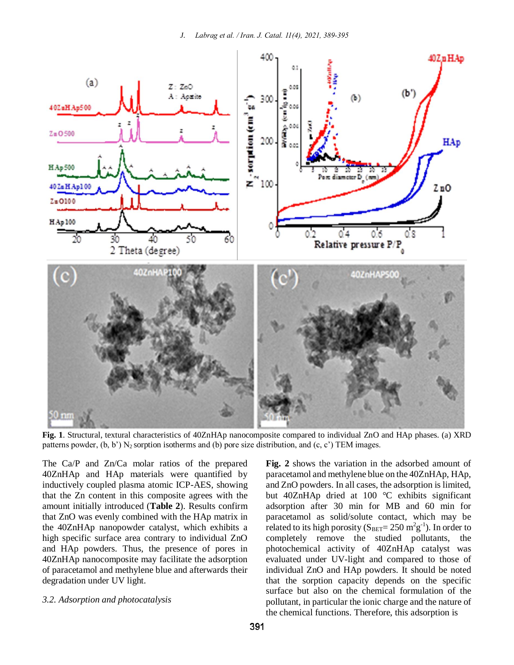

**Fig. 1**. Structural, textural characteristics of 40ZnHAp nanocomposite compared to individual ZnO and HAp phases. (a) XRD patterns powder,  $(b, b')$  N<sub>2</sub> sorption isotherms and  $(b)$  pore size distribution, and  $(c, c')$  TEM images.

The Ca/P and Zn/Ca molar ratios of the prepared 40ZnHAp and HAp materials were quantified by inductively coupled plasma atomic ICP-AES, showing that the Zn content in this composite agrees with the amount initially introduced (**Table 2**). Results confirm that ZnO was evenly combined with the HAp matrix in the 40ZnHAp nanopowder catalyst, which exhibits a high specific surface area contrary to individual ZnO and HAp powders. Thus, the presence of pores in 40ZnHAp nanocomposite may facilitate the adsorption of paracetamol and methylene blue and afterwards their degradation under UV light.

#### *3.2. Adsorption and photocatalysis*

**Fig. 2** shows the variation in the adsorbed amount of paracetamol and methylene blue on the 40ZnHAp, HAp, and ZnO powders. In all cases, the adsorption is limited, but 40ZnHAp dried at 100 °C exhibits significant adsorption after 30 min for MB and 60 min for paracetamol as solid/solute contact, which may be related to its high porosity ( $S_{\text{BET}}$ = 250 m<sup>2</sup>g<sup>-1</sup>). In order to completely remove the studied pollutants, the photochemical activity of 40ZnHAp catalyst was evaluated under UV-light and compared to those of individual ZnO and HAp powders. It should be noted that the sorption capacity depends on the specific surface but also on the chemical formulation of the pollutant, in particular the ionic charge and the nature of the chemical functions. Therefore, this adsorption is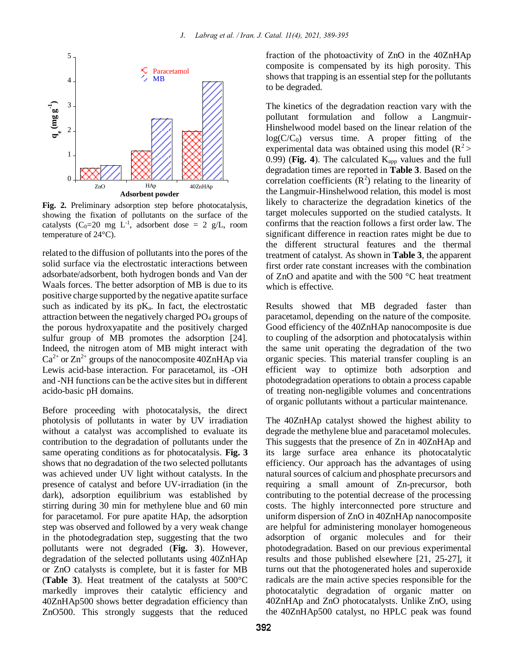

**Fig. 2.** Preliminary adsorption step before photocatalysis, showing the fixation of pollutants on the surface of the catalysts (C<sub>0</sub>=20 mg L<sup>-1</sup>, adsorbent dose = 2 g/L, room temperature of 24°C).

related to the diffusion of pollutants into the pores of the solid surface via the electrostatic interactions between adsorbate/adsorbent, both hydrogen bonds and Van der Waals forces. The better adsorption of MB is due to its positive charge supported by the negative apatite surface such as indicated by its  $pK_a$ . In fact, the electrostatic attraction between the negatively charged  $PO<sub>4</sub>$  groups of the porous hydroxyapatite and the positively charged sulfur group of MB promotes the adsorption [24]. Indeed, the nitrogen atom of MB might interact with  $Ca^{2+}$  or  $Zn^{2+}$  groups of the nanocomposite 40ZnHAp via Lewis acid-base interaction. For paracetamol, its -OH and -NH functions can be the active sites but in different acido-basic pH domains.

Before proceeding with photocatalysis, the direct photolysis of pollutants in water by UV irradiation without a catalyst was accomplished to evaluate its contribution to the degradation of pollutants under the same operating conditions as for photocatalysis. **Fig. 3** shows that no degradation of the two selected pollutants was achieved under UV light without catalysts. In the presence of catalyst and before UV-irradiation (in the dark), adsorption equilibrium was established by stirring during 30 min for methylene blue and 60 min for paracetamol. For pure apatite HAp, the adsorption step was observed and followed by a very weak change in the photodegradation step, suggesting that the two pollutants were not degraded (**Fig. 3**). However, degradation of the selected pollutants using 40ZnHAp or ZnO catalysts is complete, but it is faster for MB (**Table 3**). Heat treatment of the catalysts at 500°C markedly improves their catalytic efficiency and 40ZnHAp500 shows better degradation efficiency than ZnO500. This strongly suggests that the reduced

fraction of the photoactivity of ZnO in the 40ZnHAp composite is compensated by its high porosity. This shows that trapping is an essential step for the pollutants to be degraded.

The kinetics of the degradation reaction vary with the pollutant formulation and follow a Langmuir-Hinshelwood model based on the linear relation of the  $log(C/C_0)$  versus time. A proper fitting of the experimental data was obtained using this model  $(R^2)$ 0.99) (Fig. 4). The calculated  $K_{app}$  values and the full degradation times are reported in **Table 3**. Based on the correlation coefficients  $(R^2)$  relating to the linearity of the Langmuir-Hinshelwood relation, this model is most likely to characterize the degradation kinetics of the target molecules supported on the studied catalysts. It confirms that the reaction follows a first order law. The significant difference in reaction rates might be due to the different structural features and the thermal treatment of catalyst. As shown in **Table 3**, the apparent first order rate constant increases with the combination of ZnO and apatite and with the 500 °C heat treatment which is effective.

Results showed that MB degraded faster than paracetamol, depending on the nature of the composite. Good efficiency of the 40ZnHAp nanocomposite is due to coupling of the adsorption and photocatalysis within the same unit operating the degradation of the two organic species. This material transfer coupling is an efficient way to optimize both adsorption and photodegradation operations to obtain a process capable of treating non-negligible volumes and concentrations of organic pollutants without a particular maintenance.

The 40ZnHAp catalyst showed the highest ability to degrade the methylene blue and paracetamol molecules. This suggests that the presence of Zn in 40ZnHAp and its large surface area enhance its photocatalytic efficiency. Our approach has the advantages of using natural sources of calcium and phosphate precursors and requiring a small amount of Zn-precursor, both contributing to the potential decrease of the processing costs. The highly interconnected pore structure and uniform dispersion of ZnO in 40ZnHAp nanocomposite are helpful for administering monolayer homogeneous adsorption of organic molecules and for their photodegradation. Based on our previous experimental results and those published elsewhere [21, 25-27], it turns out that the photogenerated holes and superoxide radicals are the main active species responsible for the photocatalytic degradation of organic matter on 40ZnHAp and ZnO photocatalysts. Unlike ZnO, using the 40ZnHAp500 catalyst, no HPLC peak was found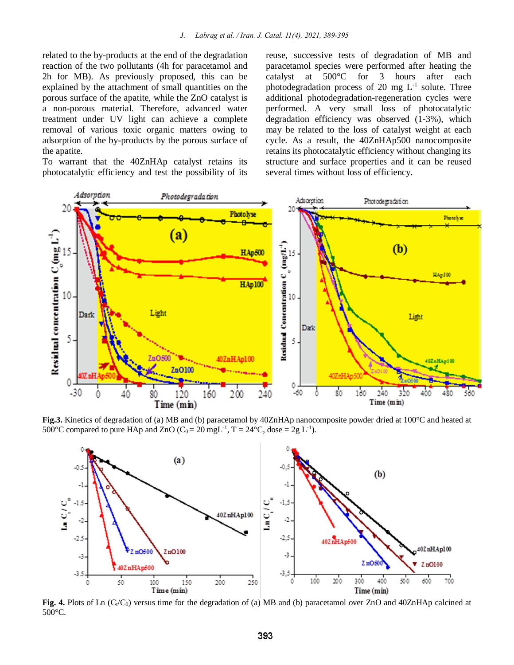related to the by-products at the end of the degradation reaction of the two pollutants (4h for paracetamol and 2h for MB). As previously proposed, this can be explained by the attachment of small quantities on the porous surface of the apatite, while the ZnO catalyst is a non-porous material. Therefore, advanced water treatment under UV light can achieve a complete removal of various toxic organic matters owing to adsorption of the by-products by the porous surface of the apatite.

To warrant that the 40ZnHAp catalyst retains its photocatalytic efficiency and test the possibility of its reuse, successive tests of degradation of MB and paracetamol species were performed after heating the catalyst at 500°C for 3 hours after each photodegradation process of 20 mg  $L^{-1}$  solute. Three additional photodegradation-regeneration cycles were performed. A very small loss of photocatalytic degradation efficiency was observed (1-3%), which may be related to the loss of catalyst weight at each cycle. As a result, the 40ZnHAp500 nanocomposite retains its photocatalytic efficiency without changing its structure and surface properties and it can be reused several times without loss of efficiency.



**Fig.3.** Kinetics of degradation of (a) MB and (b) paracetamol by 40ZnHAp nanocomposite powder dried at 100°C and heated at 500 °C compared to pure HAp and ZnO ( $C_0 = 20$  mgL<sup>-1</sup>, T = 24 °C, dose = 2g L<sup>-1</sup>).



**Fig. 4.** Plots of Ln  $(C_t/C_0)$  versus time for the degradation of (a) MB and (b) paracetamol over ZnO and 40ZnHAp calcined at 500°C.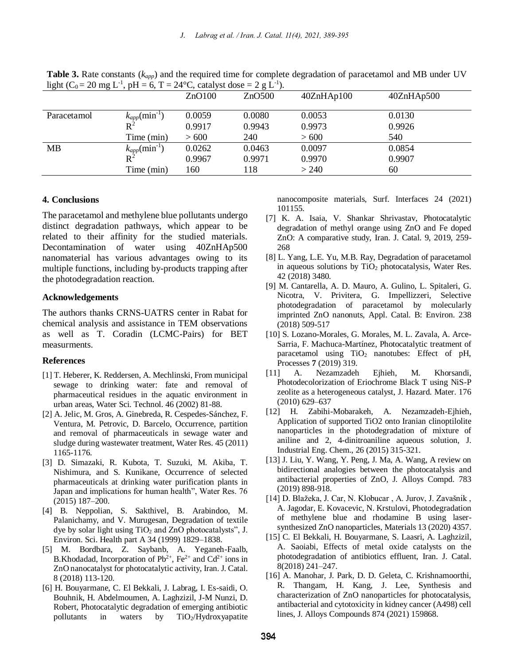**Table 3.** Rate constants (*kapp*) and the required time for complete degradation of paracetamol and MB under UV light (C<sub>0</sub> = 20 mg L<sup>-1</sup>, pH = 6, T = 24 °C, catalyst dose = 2 g L<sup>-1</sup>).

|             |                                 | ZnO100 | ZnO500 | 40ZnHAp100 | 40ZnHAp500 |
|-------------|---------------------------------|--------|--------|------------|------------|
| Paracetamol | $\kappa_{app}(\text{min}^{-1})$ | 0.0059 | 0.0080 | 0.0053     | 0.0130     |
|             | $\rm R^2$                       | 0.9917 | 0.9943 | 0.9973     | 0.9926     |
|             | Time (min)                      | > 600  | 240    | > 600      | 540        |
| <b>MB</b>   | $k_{app}$ (min <sup>-1</sup> )  | 0.0262 | 0.0463 | 0.0097     | 0.0854     |
|             | $R^2$                           | 0.9967 | 0.9971 | 0.9970     | 0.9907     |
|             | Time (min)                      | 160    | 118    | > 240      | 60         |

## **4. Conclusions**

The paracetamol and methylene blue pollutants undergo distinct degradation pathways, which appear to be related to their affinity for the studied materials. Decontamination of water using 40ZnHAp500 nanomaterial has various advantages owing to its multiple functions, including by-products trapping after the photodegradation reaction.

## **Acknowledgements**

The authors thanks CRNS-UATRS center in Rabat for chemical analysis and assistance in TEM observations as well as T. Coradin (LCMC-Pairs) for BET measurments.

#### **References**

- [1] T. Heberer, K. Reddersen, A. Mechlinski, From municipal sewage to drinking water: fate and removal of pharmaceutical residues in the aquatic environment in urban areas, Water Sci. Technol. 46 (2002) 81-88.
- [2] A. Jelic, M. Gros, A. Ginebreda, R. Cespedes-Sánchez, F. Ventura, M. Petrovic, D. Barcelo, Occurrence, partition and removal of pharmaceuticals in sewage water and sludge during wastewater treatment, Water Res. 45 (2011) 1165-1176.
- [3] D. Simazaki, R. Kubota, T. Suzuki, M. Akiba, T. Nishimura, and S. Kunikane, Occurrence of selected pharmaceuticals at drinking water purification plants in Japan and implications for human health", Water Res. 76 (2015) 187–200.
- [4] B. Neppolian, S. Sakthivel, B. Arabindoo, M. Palanichamy, and V. Murugesan, Degradation of textile dye by solar light using  $TiO<sub>2</sub>$  and ZnO photocatalysts", J. Environ. Sci. Health part A 34 (1999) 1829–1838.
- [5] M. Bordbara, Z. Saybanb, A. Yeganeh-Faalb, B.Khodadad, Incorporation of  $Pb^{2+}$ ,  $Fe^{2+}$  and  $Cd^{2+}$  ions in ZnO nanocatalyst for photocatalytic activity, Iran. J. Catal. 8 (2018) 113-120.
- [6] H. Bouyarmane, C. El Bekkali, J. Labrag, I. Es-saidi, O. Bouhnik, H. Abdelmoumen, A. Laghzizil, J-M Nunzi, D. Robert, Photocatalytic degradation of emerging antibiotic pollutants in waters by TiO2/Hydroxyapatite

nanocomposite materials, Surf. Interfaces 24 (2021) 101155.

- [7] K. A. Isaia, V. Shankar Shrivastav, Photocatalytic degradation of methyl orange using ZnO and Fe doped ZnO: A comparative study, Iran. J. Catal. 9, 2019, 259- 268
- [8] L. Yang, L.E. Yu, M.B. Ray, Degradation of paracetamol in aqueous solutions by  $TiO<sub>2</sub>$  photocatalysis, Water Res. 42 (2018) 3480.
- [9] M. Cantarella, A. D. Mauro, A. Gulino, L. Spitaleri, G. Nicotra, V. Privitera, G. Impellizzeri, Selective photodegradation of paracetamol by molecularly imprinted ZnO nanonuts, Appl. Catal. B: Environ. 238 (2018) 509-517
- [10] S. Lozano-Morales, G. Morales, M. L. Zavala, A. Arce-Sarria, F. Machuca-Martínez, Photocatalytic treatment of paracetamol using TiO<sub>2</sub> nanotubes: Effect of pH, Processes **7** (2019) 319.
- [11] A. Nezamzadeh Ejhieh, M. Khorsandi, Photodecolorization of Eriochrome Black T using NiS-P zeolite as a heterogeneous catalyst, J. Hazard. Mater. 176 (2010) 629–637
- [12] H. Zabihi-Mobarakeh, A. Nezamzadeh-Ejhieh, Application of supported TiO2 onto Iranian clinoptilolite nanoparticles in the photodegradation of mixture of aniline and 2, 4-dinitroaniline aqueous solution, J. Industrial Eng. Chem., 26 (2015) 315-321.
- [13] J. Liu, Y. Wang, Y. Peng, J. Ma, A. Wang, A review on bidirectional analogies between the photocatalysis and antibacterial properties of ZnO, J. Alloys Compd. 783 (2019) 898-918.
- [14] D. Blažeka, J. Car, N. Klobucar , A. Jurov, J. Zavašnik , A. Jagodar, E. Kovacevic, N. Krstulovi, Photodegradation of methylene blue and rhodamine B using lasersynthesized ZnO nanoparticles, Materials 13 (2020) 4357.
- [15] C. El Bekkali, H. Bouyarmane, S. Laasri, A. Laghzizil, A. Saoiabi, Effects of metal oxide catalysts on the photodegradation of antibiotics effluent, Iran. J. Catal. 8(2018) 241–247.
- [16] A. Manohar, J. Park, D. D. Geleta, C. Krishnamoorthi, R. Thangam, H. Kang, J. Lee, Synthesis and characterization of ZnO nanoparticles for photocatalysis, antibacterial and cytotoxicity in kidney cancer (A498) cell lines, J. Alloys Compounds 874 (2021) 159868.